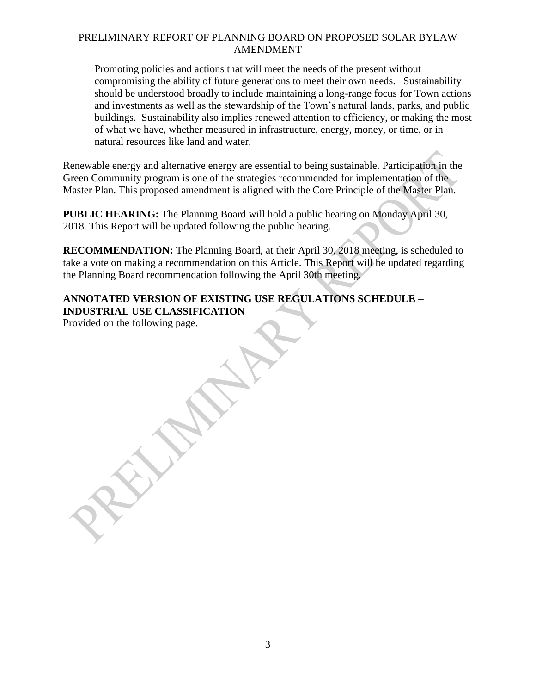## PRELIMINARY REPORT OF PLANNING BOARD ON PROPOSED SOLAR BYLAW AMENDMENT

Promoting policies and actions that will meet the needs of the present without compromising the ability of future generations to meet their own needs. Sustainability should be understood broadly to include maintaining a long-range focus for Town actions and investments as well as the stewardship of the Town's natural lands, parks, and public buildings. Sustainability also implies renewed attention to efficiency, or making the most of what we have, whether measured in infrastructure, energy, money, or time, or in natural resources like land and water.

Renewable energy and alternative energy are essential to being sustainable. Participation in the Green Community program is one of the strategies recommended for implementation of the Master Plan. This proposed amendment is aligned with the Core Principle of the Master Plan.

**PUBLIC HEARING:** The Planning Board will hold a public hearing on Monday April 30, 2018. This Report will be updated following the public hearing.

**RECOMMENDATION:** The Planning Board, at their April 30, 2018 meeting, is scheduled to take a vote on making a recommendation on this Article. This Report will be updated regarding the Planning Board recommendation following the April 30th meeting. enewable energy and alternative energy are essential to being sustainable. Participation in the energy are essential to being sustainable. Participation in the same Plant Telm This proposed amendment is aligned with the Co

# **ANNOTATED VERSION OF EXISTING USE REGULATIONS SCHEDULE – INDUSTRIAL USE CLASSIFICATION**

Provided on the following page.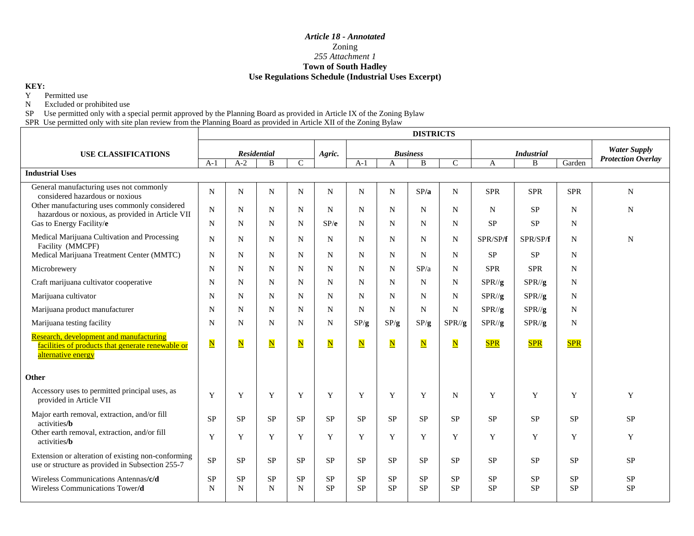### *Article 18 - Annotated*  Zoning *255 Attachment 1*  **Town of South Hadley Use Regulations Schedule (Industrial Uses Excerpt)**

| <b>Use Regulations Schedule (Industrial Uses Excerpt)</b>                                                                                                                                                                                                                                                                             |                          |                       |                         |                          |                         |                        |                                             |                         |                         |                             |                        |                        |                           |
|---------------------------------------------------------------------------------------------------------------------------------------------------------------------------------------------------------------------------------------------------------------------------------------------------------------------------------------|--------------------------|-----------------------|-------------------------|--------------------------|-------------------------|------------------------|---------------------------------------------|-------------------------|-------------------------|-----------------------------|------------------------|------------------------|---------------------------|
| KEY:<br>Y<br>Permitted use<br>$\mathbf N$<br>Excluded or prohibited use<br>${\rm SP}$<br>Use permitted only with a special permit approved by the Planning Board as provided in Article IX of the Zoning Bylaw<br>SPR Use permitted only with site plan review from the Planning Board as provided in Article XII of the Zoning Bylaw |                          |                       |                         |                          |                         |                        |                                             |                         |                         |                             |                        |                        |                           |
|                                                                                                                                                                                                                                                                                                                                       |                          |                       |                         |                          |                         |                        |                                             | <b>DISTRICTS</b>        |                         |                             |                        |                        |                           |
| <b>USE CLASSIFICATIONS</b>                                                                                                                                                                                                                                                                                                            | <b>Residential</b>       |                       |                         |                          | Agric.                  | <b>Business</b>        |                                             |                         |                         | <b>Industrial</b>           |                        |                        | <b>Water Supply</b>       |
|                                                                                                                                                                                                                                                                                                                                       | $A-1$                    | $A-2$                 | $\, {\bf B}$            | $\overline{C}$           |                         | $A-1$                  | $\mathbf{B}$<br>$\mathbf C$<br>$\mathbf{A}$ |                         |                         | B<br>$\mathbf{A}$<br>Garden |                        |                        | <b>Protection Overlay</b> |
| <b>Industrial Uses</b>                                                                                                                                                                                                                                                                                                                |                          |                       |                         |                          |                         |                        |                                             |                         |                         |                             |                        |                        |                           |
| General manufacturing uses not commonly<br>considered hazardous or noxious                                                                                                                                                                                                                                                            | $\mathbf N$              | N                     | N                       | $\mathbf N$              | N                       | N                      | N.                                          | SP/a                    | $\mathbf N$             | <b>SPR</b>                  | <b>SPR</b>             | <b>SPR</b>             | N                         |
| Other manufacturing uses commonly considered<br>hazardous or noxious, as provided in Article VII                                                                                                                                                                                                                                      | N                        | N                     | N                       | N                        | N                       | N                      | N                                           | N                       | N                       | N                           | <b>SP</b>              | N                      | N                         |
| Gas to Energy Facility/e                                                                                                                                                                                                                                                                                                              | N                        | N                     | N                       | $\mathbf N$              | SP/e                    | N                      | N                                           | $\mathbf N$             | N                       | ${\rm SP}$                  | <b>SP</b>              | N                      |                           |
| Medical Marijuana Cultivation and Processing<br>Facility (MMCPF)                                                                                                                                                                                                                                                                      | N                        | N                     | N                       | $\mathbf N$              | N                       | N                      | N                                           | $\mathbf N$             | N                       | SPR/SP/f                    | SPR/SP/f               | $\mathbf N$            | N                         |
| Medical Marijuana Treatment Center (MMTC)                                                                                                                                                                                                                                                                                             | N                        | N                     | N                       | $\mathbf N$              | N                       | N                      | $\mathbf N$                                 | $\mathbf N$             | N                       | SP                          | <b>SP</b>              | N                      |                           |
| Microbrewery                                                                                                                                                                                                                                                                                                                          | $\mathbf N$              | N                     | N                       | N                        | ${\bf N}$               | N                      | N                                           | SP/a                    | N                       | <b>SPR</b>                  | <b>SPR</b>             | N                      |                           |
| Craft marijuana cultivator cooperative                                                                                                                                                                                                                                                                                                | N                        | N                     | N                       | $\mathbf N$              | N                       | N                      | N                                           | N                       | N                       | $SPR/\mathbf{g}$            | $SPR/\mathbf{g}$       | N                      |                           |
| Marijuana cultivator                                                                                                                                                                                                                                                                                                                  | N                        | N                     | N                       | $\overline{N}$           | $\overline{N}$          | N                      | N                                           | ${\bf N}$               | N                       | $SPR/\sqrt{g}$              | $SPR/\sqrt{g}$         | $\mathbf N$            |                           |
| Marijuana product manufacturer                                                                                                                                                                                                                                                                                                        | N                        | N                     | N                       | N                        | N                       | N                      | N                                           | N                       | N                       | $SPR/\sqrt{g}$              | $SPR/\sqrt{g}$         | N                      |                           |
| Marijuana testing facility                                                                                                                                                                                                                                                                                                            | N                        | N                     | $\mathbf N$             | $\overline{\mathbf{N}}$  | N                       | SP/g                   | SP/g                                        | SP/g                    | $SPR/\sqrt{g}$          | $SPR/\sqrt{g}$              | $SPR/\sqrt{g}$         | N                      |                           |
| Research, development and manufacturing<br>facilities of products that generate renewable or<br>alternative energy                                                                                                                                                                                                                    | $\overline{\mathbf{N}}$  | $\overline{\text{N}}$ | $\overline{\mathbf{N}}$ | $\overline{\mathbf{N}}$  | $\overline{\mathbf{N}}$ | $\mathbf N$            | $\overline{\mathbf{N}}$                     | $\overline{\mathbf{N}}$ | $\overline{\mathbf{N}}$ | <b>SPR</b>                  | <b>SPR</b>             | <b>SPR</b>             |                           |
| Other                                                                                                                                                                                                                                                                                                                                 | P                        |                       |                         |                          |                         |                        |                                             |                         |                         |                             |                        |                        |                           |
| Accessory uses to permitted principal uses, as<br>provided in Article VII                                                                                                                                                                                                                                                             | $\mathbf{Y}^{\perp}$     |                       | Y                       | Y                        | Y                       | Y                      | Y                                           | Y                       | N                       | Y                           | Y                      | Y                      | Y                         |
| Major earth removal, extraction, and/or fill<br>activities/ <b>b</b>                                                                                                                                                                                                                                                                  | SP                       | <b>SP</b>             | <b>SP</b>               | <b>SP</b>                | <b>SP</b>               | <b>SP</b>              | <b>SP</b>                                   | <b>SP</b>               | <b>SP</b>               | ${\rm SP}$                  | <b>SP</b>              | <b>SP</b>              | <b>SP</b>                 |
| Other earth removal, extraction, and/or fill<br>activities/ <b>b</b>                                                                                                                                                                                                                                                                  | Y                        | Y                     | Y                       | Y                        | Y                       | Y                      | Y                                           | Y                       | Y                       | Y                           | Y                      | Y                      | Y                         |
| Extension or alteration of existing non-conforming<br>use or structure as provided in Subsection 255-7                                                                                                                                                                                                                                | <b>SP</b>                | SP.                   | <b>SP</b>               | <b>SP</b>                | <b>SP</b>               | <b>SP</b>              | <b>SP</b>                                   | <b>SP</b>               | <b>SP</b>               | <b>SP</b>                   | <b>SP</b>              | <b>SP</b>              | <b>SP</b>                 |
| Wireless Communications Antennas/c/d<br>Wireless Communications Tower/d                                                                                                                                                                                                                                                               | <b>SP</b><br>$\mathbf N$ | <b>SP</b><br>N        | <b>SP</b><br>N          | <b>SP</b><br>$\mathbf N$ | <b>SP</b><br><b>SP</b>  | <b>SP</b><br><b>SP</b> | <b>SP</b><br>${\rm SP}$                     | <b>SP</b><br><b>SP</b>  | <b>SP</b><br><b>SP</b>  | <b>SP</b><br>${\rm SP}$     | <b>SP</b><br><b>SP</b> | <b>SP</b><br><b>SP</b> | <b>SP</b><br><b>SP</b>    |
|                                                                                                                                                                                                                                                                                                                                       |                          |                       |                         |                          |                         |                        |                                             |                         |                         |                             |                        |                        |                           |